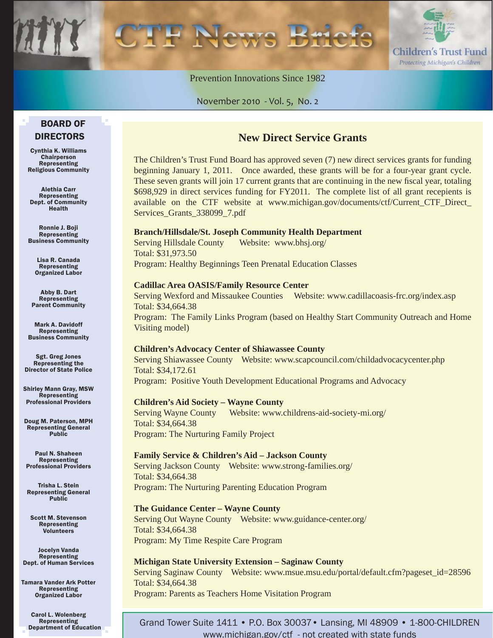

Prevention Innovations Since 1982

November 2010 - Vol. 5, No. 2

#### BOARD OF DIRECTORS

Cynthia K. Williams Chairperson Representing Religious Community

Alethia Carr Representing Dept. of Community Health

Ronnie J. Boji Representing Business Community

Lisa R. Canada Representing Organized Labor

Abby B. Dart Representing Parent Community

Mark A. Davidoff Representing Business Community

Sgt. Greg Jones Representing the Director of State Police

Shirley Mann Gray, MSW Representing Professional Providers

Doug M. Paterson, MPH Representing General Public

Paul N. Shaheen Representing Professional Providers

Trisha L. Stein Representing General Public

Scott M. Stevenson Representing Volunteers

Jocelyn Vanda Representing Dept. of Human Services

Tamara Vander Ark Potter Representing Organized Labor

Carol L. Wolenberg Representing Department of Education

#### **New Direct Service Grants**

The Children's Trust Fund Board has approved seven (7) new direct services grants for funding beginning January 1, 2011. Once awarded, these grants will be for a four-year grant cycle. These seven grants will join 17 current grants that are continuing in the new fiscal year, totaling \$698,929 in direct services funding for FY2011. The complete list of all grant recepients is [available on the CTF website at www.michigan.gov/documents/ctf/Current\\_CTF\\_Direct\\_](www.michigan.gov/documents/ctf/Current_CTF_Direct_Services_Grants_338099_7.pdf) Services\_Grants\_338099\_7.pdf

#### **Branch/Hillsdale/St. Joseph Community Health Department**

Serving Hillsdale County Website: www.bhsj.org/ Total: \$31,973.50 Program: Healthy Beginnings Teen Prenatal Education Classes

#### **Cadillac Area OASIS/Family Resource Center**

Serving Wexford and Missaukee Counties Website: www.cadillacoasis-frc.org/index.asp Total: \$34,664.38 Program: The Family Links Program (based on Healthy Start Community Outreach and Home Visiting model)

#### **Children's Advocacy Center of Shiawassee County**

Serving Shiawassee County Website: www.scapcouncil.com/childadvocacycenter.php Total: \$34,172.61 Program: Positive Youth Development Educational Programs and Advocacy

#### **Children's Aid Society – Wayne County**

Serving Wayne County Website: www.childrens-aid-society-mi.org/ Total: \$34,664.38 Program: The Nurturing Family Project

#### **Family Service & Children's Aid – Jackson County**

Serving Jackson County Website: www.strong-families.org/ Total: \$34,664.38 Program: The Nurturing Parenting Education Program

#### **The Guidance Center – Wayne County**

Serving Out Wayne County Website: www.guidance-center.org/ Total: \$34,664.38 Program: My Time Respite Care Program

#### **Michigan State University Extension – Saginaw County**

Serving Saginaw County Website: www.msue.msu.edu/portal/default.cfm?pageset\_id=28596 Total: \$34,664.38 Program: Parents as Teachers Home Visitation Program

Grand Tower Suite 1411 • P.O. Box 30037• Lansing, MI 48909 • 1-800-CHILDREN www.michigan.gov/ctf - not created with state funds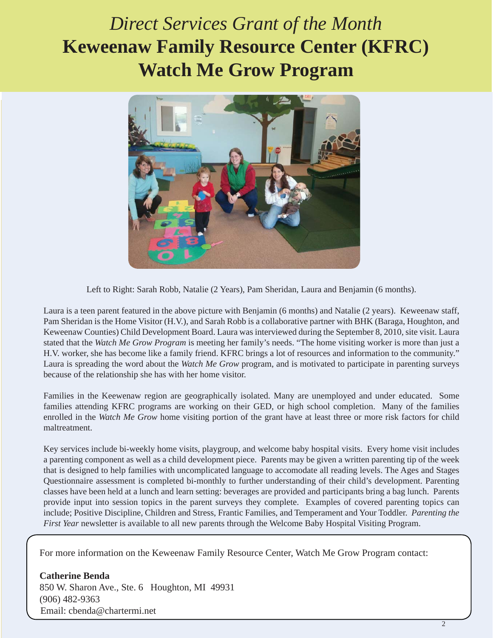## *Direct Services Grant of the Month*  **Keweenaw Family Resource Center (KFRC) Watch Me Grow Program**



Left to Right: Sarah Robb, Natalie (2 Years), Pam Sheridan, Laura and Benjamin (6 months).

Laura is a teen parent featured in the above picture with Benjamin (6 months) and Natalie (2 years). Keweenaw staff, Pam Sheridan is the Home Visitor (H.V.), and Sarah Robb is a collaborative partner with BHK (Baraga, Houghton, and Keweenaw Counties) Child Development Board. Laura was interviewed during the September 8, 2010, site visit. Laura stated that the *Watch Me Grow Program* is meeting her family's needs. "The home visiting worker is more than just a H.V. worker, she has become like a family friend. KFRC brings a lot of resources and information to the community." Laura is spreading the word about the *Watch Me Grow* program, and is motivated to participate in parenting surveys because of the relationship she has with her home visitor.

Families in the Keewenaw region are geographically isolated. Many are unemployed and under educated. Some families attending KFRC programs are working on their GED, or high school completion. Many of the families enrolled in the *Watch Me Grow* home visiting portion of the grant have at least three or more risk factors for child maltreatment.

Key services include bi-weekly home visits, playgroup, and welcome baby hospital visits. Every home visit includes a parenting component as well as a child development piece. Parents may be given a written parenting tip of the week that is designed to help families with uncomplicated language to accomodate all reading levels. The Ages and Stages Questionnaire assessment is completed bi-monthly to further understanding of their child's development. Parenting classes have been held at a lunch and learn setting: beverages are provided and participants bring a bag lunch. Parents provide input into session topics in the parent surveys they complete. Examples of covered parenting topics can include; Positive Discipline, Children and Stress, Frantic Families, and Temperament and Your Toddler. *Parenting the First Year* newsletter is available to all new parents through the Welcome Baby Hospital Visiting Program.

For more information on the Keweenaw Family Resource Center, Watch Me Grow Program contact:

**Catherine Benda** 850 W. Sharon Ave., Ste. 6 Houghton, MI 49931 (906) 482-9363 Email: cbenda@chartermi.net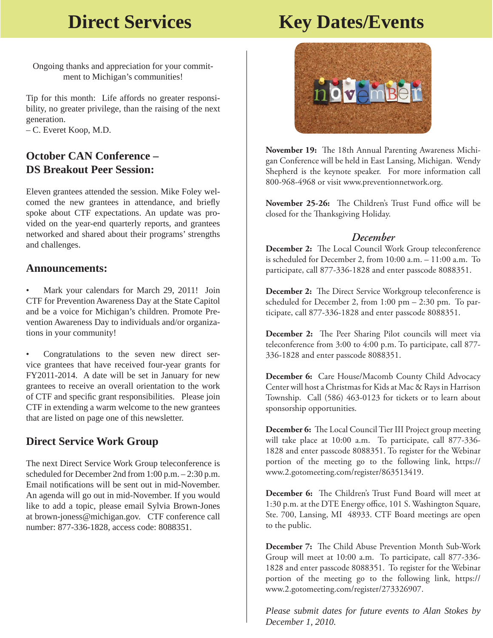## **Direct Services Key Dates/Events**

Ongoing thanks and appreciation for your commitment to Michigan's communities!

Tip for this month: Life affords no greater responsibility, no greater privilege, than the raising of the next generation.

– C. Everet Koop, M.D.

#### **October CAN Conference – DS Breakout Peer Session:**

Eleven grantees attended the session. Mike Foley welcomed the new grantees in attendance, and briefly spoke about CTF expectations. An update was provided on the year-end quarterly reports, and grantees networked and shared about their programs' strengths and challenges.

#### **Announcements:**

• Mark your calendars for March 29, 2011! Join CTF for Prevention Awareness Day at the State Capitol and be a voice for Michigan's children. Promote Prevention Awareness Day to individuals and/or organizations in your community!

• Congratulations to the seven new direct service grantees that have received four-year grants for FY2011-2014. A date will be set in January for new grantees to receive an overall orientation to the work of CTF and specific grant responsibilities. Please join CTF in extending a warm welcome to the new grantees that are listed on page one of this newsletter.

#### **Direct Service Work Group**

The next Direct Service Work Group teleconference is scheduled for December 2nd from 1:00 p.m. – 2:30 p.m. Email notifications will be sent out in mid-November. An agenda will go out in mid-November. If you would like to add a topic, please email Sylvia Brown-Jones at brown-joness@michigan.gov. CTF conference call number: 877-336-1828, access code: 8088351.



November 19: The 18th Annual Parenting Awareness Michigan Conference will be held in East Lansing, Michigan. Wendy Shepherd is the keynote speaker. For more information call 800-968-4968 or visit www.preventionnetwork.org.

November 25-26: The Children's Trust Fund office will be closed for the Thanksgiving Holiday.

#### *December*

**December 2:** The Local Council Work Group teleconference is scheduled for December 2, from 10:00 a.m. – 11:00 a.m. To participate, call 877-336-1828 and enter passcode 8088351.

**December 2:** The Direct Service Workgroup teleconference is scheduled for December 2, from 1:00 pm – 2:30 pm. To participate, call 877-336-1828 and enter passcode 8088351.

**December 2:** The Peer Sharing Pilot councils will meet via teleconference from 3:00 to 4:00 p.m. To participate, call 877- 336-1828 and enter passcode 8088351.

**December 6:** Care House/Macomb County Child Advocacy Center will host a Christmas for Kids at Mac & Rays in Harrison Township. Call (586) 463-0123 for tickets or to learn about sponsorship opportunities.

**December 6:** The Local Council Tier III Project group meeting will take place at 10:00 a.m. To participate, call 877-336- 1828 and enter passcode 8088351. To register for the Webinar portion of the meeting go to the following link, https:// www.2.gotomeeting.com/register/863513419.

**December 6:** The Children's Trust Fund Board will meet at 1:30 p.m. at the DTE Energy office, 101 S. Washington Square, Ste. 700, Lansing, MI 48933. CTF Board meetings are open to the public.

**December 7:** The Child Abuse Prevention Month Sub-Work Group will meet at 10:00 a.m. To participate, call 877-336- 1828 and enter passcode 8088351. To register for the Webinar portion of the meeting go to the following link, https:// www.2.gotomeeting.com/register/273326907.

*Please submit dates for future events to Alan Stokes by December 1, 2010.*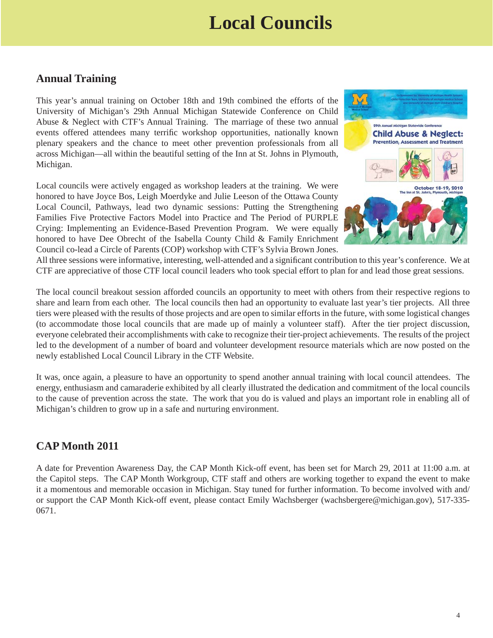## **Local Councils**

#### **Annual Training**

This year's annual training on October 18th and 19th combined the efforts of the University of Michigan's 29th Annual Michigan Statewide Conference on Child Abuse & Neglect with CTF's Annual Training. The marriage of these two annual events offered attendees many terrific workshop opportunities, nationally known plenary speakers and the chance to meet other prevention professionals from all across Michigan—all within the beautiful setting of the Inn at St. Johns in Plymouth, Michigan.

Local councils were actively engaged as workshop leaders at the training. We were honored to have Joyce Bos, Leigh Moerdyke and Julie Leeson of the Ottawa County Local Council, Pathways, lead two dynamic sessions: Putting the Strengthening Families Five Protective Factors Model into Practice and The Period of PURPLE Crying: Implementing an Evidence-Based Prevention Program. We were equally honored to have Dee Obrecht of the Isabella County Child & Family Enrichment Council co-lead a Circle of Parents (COP) workshop with CTF's Sylvia Brown Jones.



All three sessions were informative, interesting, well-attended and a significant contribution to this year's conference. We at CTF are appreciative of those CTF local council leaders who took special effort to plan for and lead those great sessions.

The local council breakout session afforded councils an opportunity to meet with others from their respective regions to share and learn from each other. The local councils then had an opportunity to evaluate last year's tier projects. All three tiers were pleased with the results of those projects and are open to similar efforts in the future, with some logistical changes (to accommodate those local councils that are made up of mainly a volunteer staff). After the tier project discussion, everyone celebrated their accomplishments with cake to recognize their tier-project achievements. The results of the project led to the development of a number of board and volunteer development resource materials which are now posted on the newly established Local Council Library in the CTF Website.

It was, once again, a pleasure to have an opportunity to spend another annual training with local council attendees. The energy, enthusiasm and camaraderie exhibited by all clearly illustrated the dedication and commitment of the local councils to the cause of prevention across the state. The work that you do is valued and plays an important role in enabling all of Michigan's children to grow up in a safe and nurturing environment.

#### **CAP Month 2011**

A date for Prevention Awareness Day, the CAP Month Kick-off event, has been set for March 29, 2011 at 11:00 a.m. at the Capitol steps. The CAP Month Workgroup, CTF staff and others are working together to expand the event to make it a momentous and memorable occasion in Michigan. Stay tuned for further information. To become involved with and/ or support the CAP Month Kick-off event, please contact Emily Wachsberger (wachsbergere@michigan.gov), 517-335- 0671.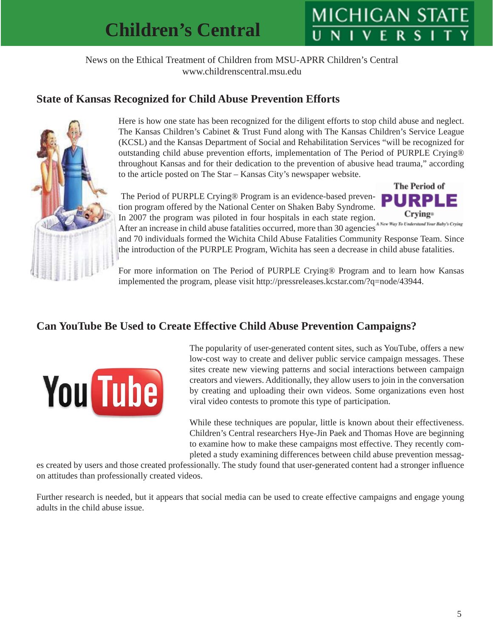# **MICHIGAN ST**

News on the Ethical Treatment of Children from MSU-APRR Children's Central www.childrenscentral.msu.edu

### **State of Kansas Recognized for Child Abuse Prevention Efforts**



Here is how one state has been recognized for the diligent efforts to stop child abuse and neglect. The Kansas Children's Cabinet & Trust Fund along with The Kansas Children's Service League (KCSL) and the Kansas Department of Social and Rehabilitation Services "will be recognized for outstanding child abuse prevention efforts, implementation of The Period of PURPLE Crying® throughout Kansas and for their dedication to the prevention of abusive head trauma," according to the article posted on The Star – Kansas City's newspaper website.

The Period of PURPLE Crying® Program is an evidence-based prevention program offered by the National Center on Shaken Baby Syndrome. In 2007 the program was piloted in four hospitals in each state region.



After an increase in child abuse fatalities occurred, more than 30 agencies and 70 individuals formed the Wichita Child Abuse Fatalities Community Response Team. Since the introduction of the PURPLE Program, Wichita has seen a decrease in child abuse fatalities.

For more information on The Period of PURPLE Crying® Program and to learn how Kansas implemented the program, please visit http://pressreleases.kcstar.com/?q=node/43944.

#### **Can YouTube Be Used to Create Effective Child Abuse Prevention Campaigns?**



The popularity of user-generated content sites, such as YouTube, offers a new low-cost way to create and deliver public service campaign messages. These sites create new viewing patterns and social interactions between campaign creators and viewers. Additionally, they allow users to join in the conversation by creating and uploading their own videos. Some organizations even host viral video contests to promote this type of participation.

While these techniques are popular, little is known about their effectiveness. Children's Central researchers Hye-Jin Paek and Thomas Hove are beginning to examine how to make these campaigns most effective. They recently completed a study examining differences between child abuse prevention messag-

es created by users and those created professionally. The study found that user-generated content had a stronger influence on attitudes than professionally created videos.

Further research is needed, but it appears that social media can be used to create effective campaigns and engage young adults in the child abuse issue.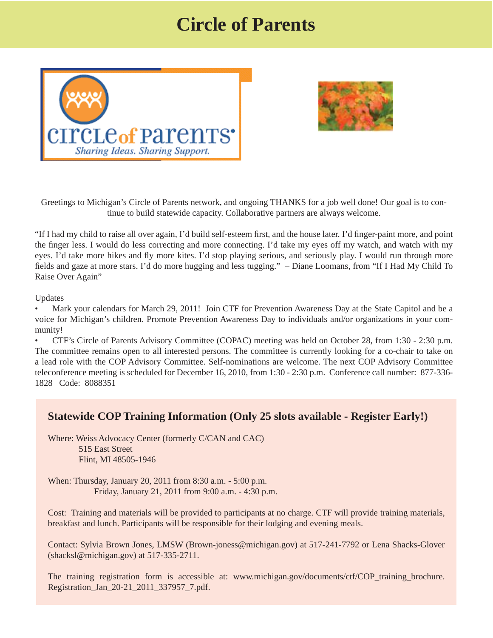## **Circle of Parents**





Greetings to Michigan's Circle of Parents network, and ongoing THANKS for a job well done! Our goal is to continue to build statewide capacity. Collaborative partners are always welcome.

"If I had my child to raise all over again, I'd build self-esteem first, and the house later. I'd finger-paint more, and point the finger less. I would do less correcting and more connecting. I'd take my eyes off my watch, and watch with my eyes. I'd take more hikes and fly more kites. I'd stop playing serious, and seriously play. I would run through more fields and gaze at more stars. I'd do more hugging and less tugging." – Diane Loomans, from "If I Had My Child To Raise Over Again"

Updates

• Mark your calendars for March 29, 2011! Join CTF for Prevention Awareness Day at the State Capitol and be a voice for Michigan's children. Promote Prevention Awareness Day to individuals and/or organizations in your community!

• CTF's Circle of Parents Advisory Committee (COPAC) meeting was held on October 28, from 1:30 - 2:30 p.m. The committee remains open to all interested persons. The committee is currently looking for a co-chair to take on a lead role with the COP Advisory Committee. Self-nominations are welcome. The next COP Advisory Committee teleconference meeting is scheduled for December 16, 2010, from 1:30 - 2:30 p.m. Conference call number: 877-336- 1828 Code: 8088351

#### **Statewide COP Training Information (Only 25 slots available - Register Early!)**

Where: Weiss Advocacy Center (formerly C/CAN and CAC) 515 East Street Flint, MI 48505-1946

When: Thursday, January 20, 2011 from 8:30 a.m. - 5:00 p.m. Friday, January 21, 2011 from 9:00 a.m. - 4:30 p.m.

Cost: Training and materials will be provided to participants at no charge. CTF will provide training materials, breakfast and lunch. Participants will be responsible for their lodging and evening meals.

Contact: Sylvia Brown Jones, LMSW (Brown-joness@michigan.gov) at 517-241-7792 or Lena Shacks-Glover (shacksl@michigan.gov) at 517-335-2711.

[The training registration form is accessible at: www.michigan.gov/documents/ctf/COP\\_training\\_brochure.](www.michigan.gov/documents/ctf/COP_training_brochure.Registration_Jan_20-21_2011_337957_7.pdf) Registration\_Jan\_20-21\_2011\_337957\_7.pdf.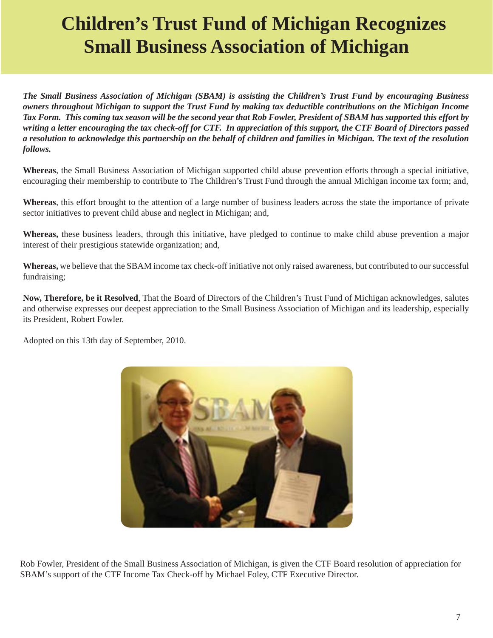# **Children's Trust Fund of Michigan Recognizes Small Business Association of Michigan**

*The Small Business Association of Michigan (SBAM) is assisting the Children's Trust Fund by encouraging Business owners throughout Michigan to support the Trust Fund by making tax deductible contributions on the Michigan Income Tax Form. This coming tax season will be the second year that Rob Fowler, President of SBAM has supported this effort by writing a letter encouraging the tax check-off for CTF. In appreciation of this support, the CTF Board of Directors passed a resolution to acknowledge this partnership on the behalf of children and families in Michigan. The text of the resolution follows.*

**Whereas**, the Small Business Association of Michigan supported child abuse prevention efforts through a special initiative, encouraging their membership to contribute to The Children's Trust Fund through the annual Michigan income tax form; and,

**Whereas**, this effort brought to the attention of a large number of business leaders across the state the importance of private sector initiatives to prevent child abuse and neglect in Michigan; and,

**Whereas,** these business leaders, through this initiative, have pledged to continue to make child abuse prevention a major interest of their prestigious statewide organization; and,

**Whereas,** we believe that the SBAM income tax check-off initiative not only raised awareness, but contributed to our successful fundraising;

**Now, Therefore, be it Resolved**, That the Board of Directors of the Children's Trust Fund of Michigan acknowledges, salutes and otherwise expresses our deepest appreciation to the Small Business Association of Michigan and its leadership, especially its President, Robert Fowler.

Adopted on this 13th day of September, 2010.



 Rob Fowler, President of the Small Business Association of Michigan, is given the CTF Board resolution of appreciation for SBAM's support of the CTF Income Tax Check-off by Michael Foley, CTF Executive Director.